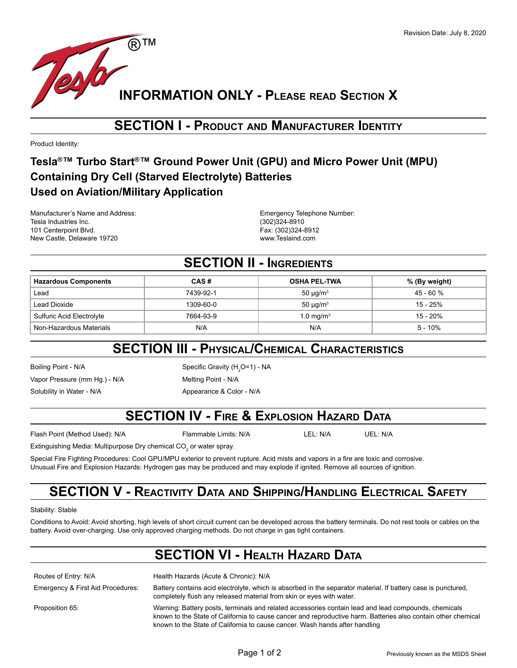

#### **SECTION I - Product and Manufacturer Identity**

Product Identity:

#### **Tesla®™ Turbo Start®™ Ground Power Unit (GPU) and Micro Power Unit (MPU) Containing Dry Cell (Starved Electrolyte) Batteries Used on Aviation/Military Application**

Manufacturer's Name and Address: The Control of the Emergency Telephone Number: Tesla Industries Inc. (302)324-8910 101 Centerpoint Blvd. Fax: (302)324-8912 New Castle, Delaware 19720 www.Teslaind.com

#### **SECTION II - INGREDIENTS**

| <b>Hazardous Components</b> | CAS#      | <b>OSHA PEL-TWA</b>       | % (By weight) |
|-----------------------------|-----------|---------------------------|---------------|
| Lead                        | 7439-92-1 | 50 $\mu$ g/m <sup>3</sup> | $45 - 60%$    |
| Lead Dioxide                | 1309-60-0 | 50 $\mu$ g/m <sup>3</sup> | 15 - 25%      |
| Sulfuric Acid Electrolyte   | 7664-93-9 | $1.0 \text{ mg/m}^3$      | 15 - 20%      |
| Non-Hazardous Materials     | N/A       | N/A                       | 5 - 10%       |

# **SECTION III - Physical/Chemical Characteristics**

Vapor Pressure (mm Hg.) - N/A Melting Point - N/A

Solubility in Water - N/A Appearance & Color - N/A

Boiling Point - N/A **Specific Gravity (H<sub>2</sub>O=1)** - NA

# **SECTION IV - Fire & Explosion Hazard Data**

Flash Point (Method Used): N/A Flammable Limits: N/A LEL: N/A UEL: N/A

Extinguishing Media: Multipurpose Dry chemical CO $_2$  or water spray.

Special Fire Fighting Procedures: Cool GPU/MPU exterior to prevent rupture. Acid mists and vapors in a fire are toxic and corrosive. Unusual Fire and Explosion Hazards: Hydrogen gas may be produced and may explode if ignited. Remove all sources of ignition.

# **SECTION V - Reactivity Data and Shipping/Handling Electrical Safety**

Stability: Stable

Conditions to Avoid: Avoid shorting, high levels of short circuit current can be developed across the battery terminals. Do not rest tools or cables on the battery. Avoid over-charging. Use only approved charging methods. Do not charge in gas tight containers.

### **SECTION VI - Health Hazard Data**

| Routes of Entry: N/A              | Health Hazards (Acute & Chronic): N/A                                                                                                                                                                                                                                                                |
|-----------------------------------|------------------------------------------------------------------------------------------------------------------------------------------------------------------------------------------------------------------------------------------------------------------------------------------------------|
| Emergency & First Aid Procedures: | Battery contains acid electrolyte, which is absorbed in the separator material. If battery case is punctured,<br>completely flush any released material from skin or eyes with water.                                                                                                                |
| Proposition 65:                   | Warning: Battery posts, terminals and related accessories contain lead and lead compounds, chemicals<br>known to the State of California to cause cancer and reproductive harm. Batteries also contain other chemical<br>known to the State of California to cause cancer. Wash hands after handling |